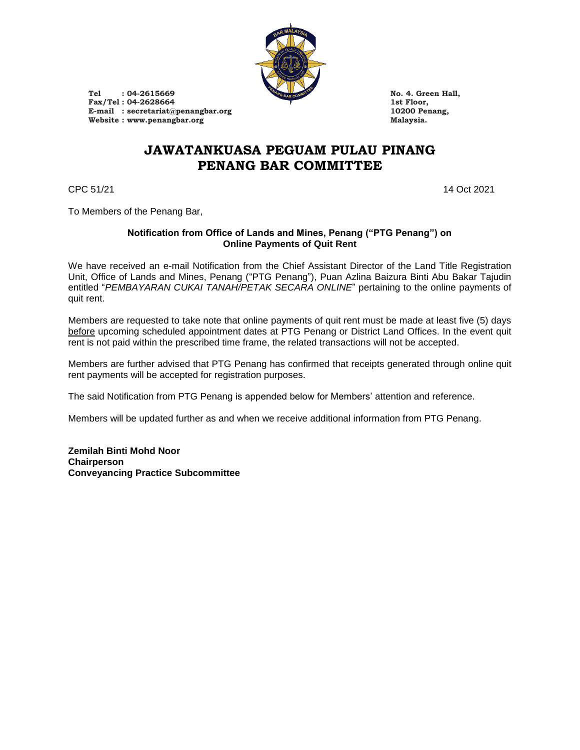

**Tel : 04-2615669 No. 4. Green Hall,** Fax/Tel : 04-2628664 1st Floor,<br>
E-mail : secretariat@penangbar.org<br>
10200 Penang, E-mail **: secretariat@penangbar.org** 10200 Penang, 10200 Penang, 10200 Penang, 10200 Penang, 10200 Penang, 10200 Penang, 10200 Penang, 10200 Penang, 10200 Penang, 10200 Penang, 10200 Penang, 10200 Penang, 10200 Penang, 102  $W$ ebsite : www.penangbar.org

# **JAWATANKUASA PEGUAM PULAU PINANG PENANG BAR COMMITTEE**

CPC 51/21 14 Oct 2021

To Members of the Penang Bar,

#### **Notification from Office of Lands and Mines, Penang ("PTG Penang") on Online Payments of Quit Rent**

We have received an e-mail Notification from the Chief Assistant Director of the Land Title Registration Unit, Office of Lands and Mines, Penang ("PTG Penang"), Puan Azlina Baizura Binti Abu Bakar Tajudin entitled "*PEMBAYARAN CUKAI TANAH/PETAK SECARA ONLINE*" pertaining to the online payments of quit rent.

Members are requested to take note that online payments of quit rent must be made at least five (5) days before upcoming scheduled appointment dates at PTG Penang or District Land Offices. In the event quit rent is not paid within the prescribed time frame, the related transactions will not be accepted.

Members are further advised that PTG Penang has confirmed that receipts generated through online quit rent payments will be accepted for registration purposes.

The said Notification from PTG Penang is appended below for Members' attention and reference.

Members will be updated further as and when we receive additional information from PTG Penang.

**Zemilah Binti Mohd Noor Chairperson Conveyancing Practice Subcommittee**